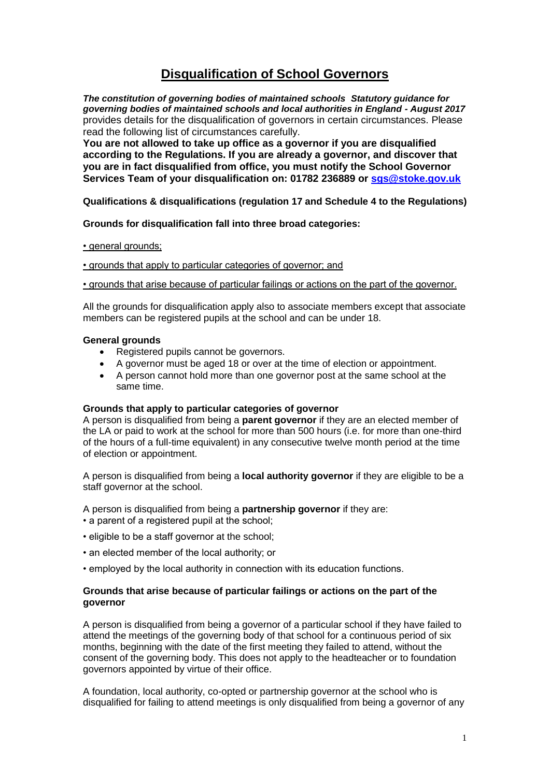# **Disqualification of School Governors**

*The constitution of governing bodies of maintained schools Statutory guidance for governing bodies of maintained schools and local authorities in England - August 2017* provides details for the disqualification of governors in certain circumstances. Please read the following list of circumstances carefully.

**You are not allowed to take up office as a governor if you are disqualified according to the Regulations. If you are already a governor, and discover that you are in fact disqualified from office, you must notify the School Governor Services Team of your disqualification on: 01782 236889 or [sgs@stoke.gov.uk](mailto:sgs@stoke.gov.uk)**

# **Qualifications & disqualifications (regulation 17 and Schedule 4 to the Regulations)**

# **Grounds for disqualification fall into three broad categories:**

• general grounds;

• grounds that apply to particular categories of governor; and

• grounds that arise because of particular failings or actions on the part of the governor.

All the grounds for disqualification apply also to associate members except that associate members can be registered pupils at the school and can be under 18.

### **General grounds**

- Registered pupils cannot be governors.
- A governor must be aged 18 or over at the time of election or appointment.
- A person cannot hold more than one governor post at the same school at the same time.

### **Grounds that apply to particular categories of governor**

A person is disqualified from being a **parent governor** if they are an elected member of the LA or paid to work at the school for more than 500 hours (i.e. for more than one-third of the hours of a full-time equivalent) in any consecutive twelve month period at the time of election or appointment.

A person is disqualified from being a **local authority governor** if they are eligible to be a staff governor at the school.

A person is disqualified from being a **partnership governor** if they are:

- a parent of a registered pupil at the school;
- eligible to be a staff governor at the school;
- an elected member of the local authority; or
- employed by the local authority in connection with its education functions.

# **Grounds that arise because of particular failings or actions on the part of the governor**

A person is disqualified from being a governor of a particular school if they have failed to attend the meetings of the governing body of that school for a continuous period of six months, beginning with the date of the first meeting they failed to attend, without the consent of the governing body. This does not apply to the headteacher or to foundation governors appointed by virtue of their office.

A foundation, local authority, co-opted or partnership governor at the school who is disqualified for failing to attend meetings is only disqualified from being a governor of any